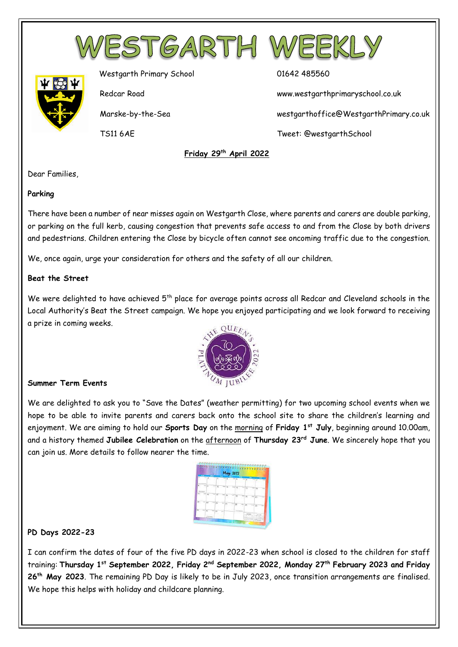



Westgarth Primary School 01642 485560

Redcar Road www.westgarthprimaryschool.co.uk

Marske-by-the-Sea westgarthoffice@WestgarthPrimary.co.uk

TS11 6AE Tweet: @westgarthSchool

 **Friday 29th April 2022**

Dear Families,

### **Parking**

There have been a number of near misses again on Westgarth Close, where parents and carers are double parking, or parking on the full kerb, causing congestion that prevents safe access to and from the Close by both drivers and pedestrians. Children entering the Close by bicycle often cannot see oncoming traffic due to the congestion.

We, once again, urge your consideration for others and the safety of all our children.

## **Beat the Street**

We were delighted to have achieved 5<sup>th</sup> place for average points across all Redcar and Cleveland schools in the Local Authority's Beat the Street campaign. We hope you enjoyed participating and we look forward to receiving a prize in coming weeks.



## **Summer Term Events**

We are delighted to ask you to "Save the Dates" (weather permitting) for two upcoming school events when we hope to be able to invite parents and carers back onto the school site to share the children's learning and enjoyment. We are aiming to hold our **Sports Day** on the morning of **Friday 1st July**, beginning around 10.00am, and a history themed **Jubilee Celebration** on the afternoon of **Thursday 23rd June**. We sincerely hope that you can join us. More details to follow nearer the time.

| ┈                                                                      | 719                                | ٠<br><b>May 2022</b>                                                                                                                   |
|------------------------------------------------------------------------|------------------------------------|----------------------------------------------------------------------------------------------------------------------------------------|
| ÷<br>ī<br>$-$<br>ä<br>٠<br>'n<br>$\lambda$                             | ï                                  | œ<br>m<br>m<br>īs<br>۶<br>٠                                                                                                            |
| <b>IT'S Farmer and</b><br>$-1$<br>ĭ<br>19.46<br>10<br>Ξ<br><b>Rope</b> | ÷<br>18                            | -<br>12<br>-<br>13<br>∼<br>14<br>$\sim$<br>x<br>×<br>×                                                                                 |
| -<br><b>START</b><br>$\overline{16}$<br>$\overline{17}$<br>Ξ           | -<br>18<br>٠<br>۰.<br>c<br>v.<br>÷ | ≂<br>$\overline{18}$<br>$\sim$<br>20<br><b>START</b><br>25<br>$-$<br>x.<br>÷<br>٠                                                      |
| m<br>24                                                                | -<br>38                            | 26<br>$-0.004$<br>$\overline{\mathcal{W}}$<br>c<br>$-11$<br>$\overline{28}$<br>÷                                                       |
| 35<br>=<br>31                                                          |                                    | ٠<br>- 11<br><b>COLOR</b>                                                                                                              |
| -tunnyle                                                               |                                    | w<br>٠<br>٠<br>٠<br>٠<br>×<br>٠<br>٠<br>٠<br>٠<br>٠<br>÷<br>$+ 1.1$<br>÷<br><b>PORTA</b><br>٠<br>$F = G$<br>200000<br>1323222<br>サビーの日 |

## **PD Days 2022-23**

I can confirm the dates of four of the five PD days in 2022-23 when school is closed to the children for staff training: **Thursday 1st September 2022, Friday 2nd September 2022, Monday 27th February 2023 and Friday 26th May 2023**. The remaining PD Day is likely to be in July 2023, once transition arrangements are finalised. We hope this helps with holiday and childcare planning.